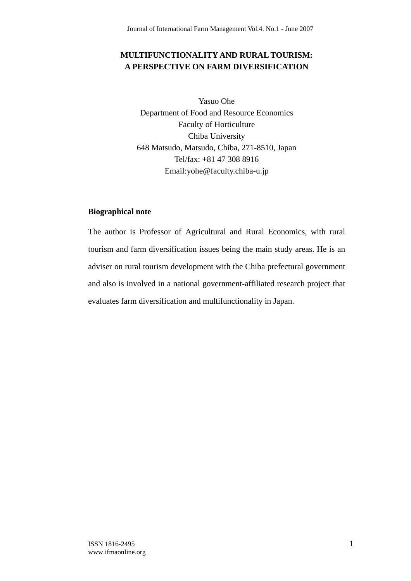### **MULTIFUNCTIONALITY AND RURAL TOURISM: A PERSPECTIVE ON FARM DIVERSIFICATION**

Yasuo Ohe Department of Food and Resource Economics Faculty of Horticulture Chiba University 648 Matsudo, Matsudo, Chiba, 271-8510, Japan Tel/fax: +81 47 308 8916 Email:yohe@faculty.chiba-u.jp

### **Biographical note**

The author is Professor of Agricultural and Rural Economics, with rural tourism and farm diversification issues being the main study areas. He is an adviser on rural tourism development with the Chiba prefectural government and also is involved in a national government-affiliated research project that evaluates farm diversification and multifunctionality in Japan.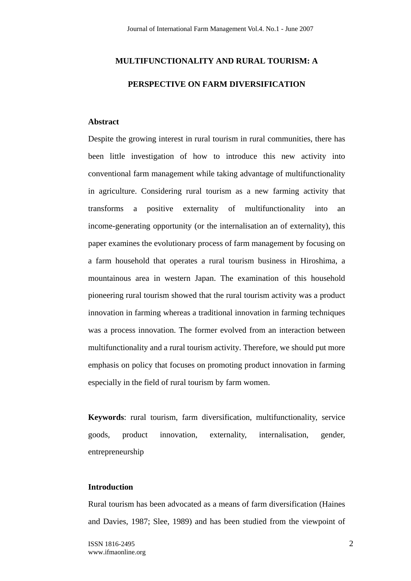# **MULTIFUNCTIONALITY AND RURAL TOURISM: A PERSPECTIVE ON FARM DIVERSIFICATION**

### **Abstract**

Despite the growing interest in rural tourism in rural communities, there has been little investigation of how to introduce this new activity into conventional farm management while taking advantage of multifunctionality in agriculture. Considering rural tourism as a new farming activity that transforms a positive externality of multifunctionality into an income-generating opportunity (or the internalisation an of externality), this paper examines the evolutionary process of farm management by focusing on a farm household that operates a rural tourism business in Hiroshima, a mountainous area in western Japan. The examination of this household pioneering rural tourism showed that the rural tourism activity was a product innovation in farming whereas a traditional innovation in farming techniques was a process innovation. The former evolved from an interaction between multifunctionality and a rural tourism activity. Therefore, we should put more emphasis on policy that focuses on promoting product innovation in farming especially in the field of rural tourism by farm women.

**Keywords**: rural tourism, farm diversification, multifunctionality, service goods, product innovation, externality, internalisation, gender, entrepreneurship

### **Introduction**

Rural tourism has been advocated as a means of farm diversification (Haines and Davies, 1987; Slee, 1989) and has been studied from the viewpoint of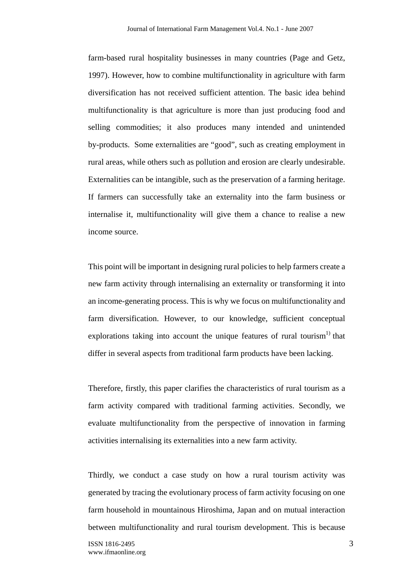farm-based rural hospitality businesses in many countries (Page and Getz, 1997). However, how to combine multifunctionality in agriculture with farm diversification has not received sufficient attention. The basic idea behind multifunctionality is that agriculture is more than just producing food and selling commodities; it also produces many intended and unintended by-products. Some externalities are "good", such as creating employment in rural areas, while others such as pollution and erosion are clearly undesirable. Externalities can be intangible, such as the preservation of a farming heritage. If farmers can successfully take an externality into the farm business or internalise it, multifunctionality will give them a chance to realise a new income source.

This point will be important in designing rural policies to help farmers create a new farm activity through internalising an externality or transforming it into an income-generating process. This is why we focus on multifunctionality and farm diversification. However, to our knowledge, sufficient conceptual explorations taking into account the unique features of rural tourism<sup>1)</sup> that differ in several aspects from traditional farm products have been lacking.

Therefore, firstly, this paper clarifies the characteristics of rural tourism as a farm activity compared with traditional farming activities. Secondly, we evaluate multifunctionality from the perspective of innovation in farming activities internalising its externalities into a new farm activity.

Thirdly, we conduct a case study on how a rural tourism activity was generated by tracing the evolutionary process of farm activity focusing on one farm household in mountainous Hiroshima, Japan and on mutual interaction between multifunctionality and rural tourism development. This is because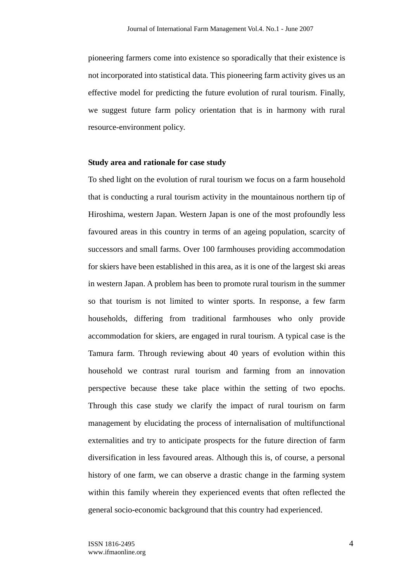pioneering farmers come into existence so sporadically that their existence is not incorporated into statistical data. This pioneering farm activity gives us an effective model for predicting the future evolution of rural tourism. Finally, we suggest future farm policy orientation that is in harmony with rural resource-environment policy.

### **Study area and rationale for case study**

To shed light on the evolution of rural tourism we focus on a farm household that is conducting a rural tourism activity in the mountainous northern tip of Hiroshima, western Japan. Western Japan is one of the most profoundly less favoured areas in this country in terms of an ageing population, scarcity of successors and small farms. Over 100 farmhouses providing accommodation for skiers have been established in this area, as it is one of the largest ski areas in western Japan. A problem has been to promote rural tourism in the summer so that tourism is not limited to winter sports. In response, a few farm households, differing from traditional farmhouses who only provide accommodation for skiers, are engaged in rural tourism. A typical case is the Tamura farm. Through reviewing about 40 years of evolution within this household we contrast rural tourism and farming from an innovation perspective because these take place within the setting of two epochs. Through this case study we clarify the impact of rural tourism on farm management by elucidating the process of internalisation of multifunctional externalities and try to anticipate prospects for the future direction of farm diversification in less favoured areas. Although this is, of course, a personal history of one farm, we can observe a drastic change in the farming system within this family wherein they experienced events that often reflected the general socio-economic background that this country had experienced.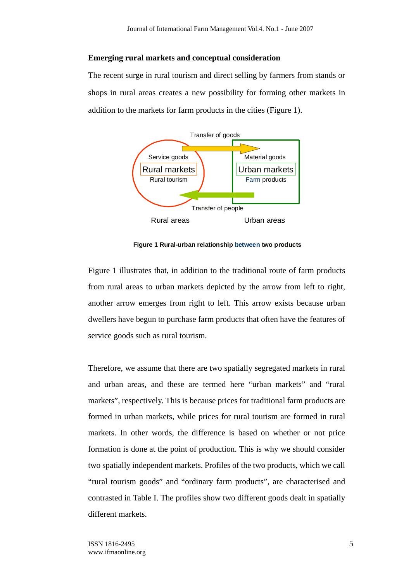#### **Emerging rural markets and conceptual consideration**

The recent surge in rural tourism and direct selling by farmers from stands or shops in rural areas creates a new possibility for forming other markets in addition to the markets for farm products in the cities (Figure 1).



**Figure 1 Rural-urban relationship between two products**

Figure 1 illustrates that, in addition to the traditional route of farm products from rural areas to urban markets depicted by the arrow from left to right, another arrow emerges from right to left. This arrow exists because urban dwellers have begun to purchase farm products that often have the features of service goods such as rural tourism.

Therefore, we assume that there are two spatially segregated markets in rural and urban areas, and these are termed here "urban markets" and "rural markets", respectively. This is because prices for traditional farm products are formed in urban markets, while prices for rural tourism are formed in rural markets. In other words, the difference is based on whether or not price formation is done at the point of production. This is why we should consider two spatially independent markets. Profiles of the two products, which we call "rural tourism goods" and "ordinary farm products", are characterised and contrasted in Table I. The profiles show two different goods dealt in spatially different markets.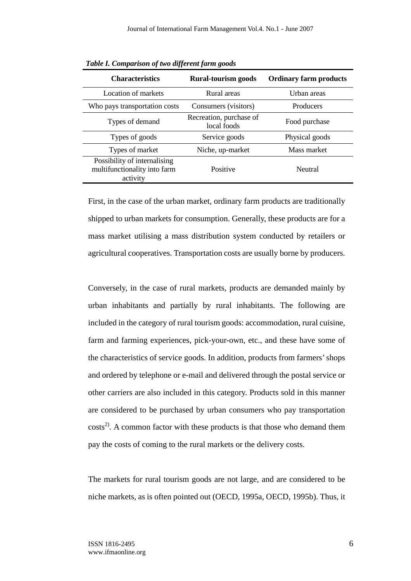| <b>Characteristics</b>                                                   | <b>Rural-tourism goods</b>             | <b>Ordinary farm products</b> |  |
|--------------------------------------------------------------------------|----------------------------------------|-------------------------------|--|
| Location of markets                                                      | Rural areas                            | Urban areas                   |  |
| Who pays transportation costs                                            | Consumers (visitors)                   | Producers                     |  |
| Types of demand                                                          | Recreation, purchase of<br>local foods | Food purchase                 |  |
| Types of goods                                                           | Service goods                          | Physical goods                |  |
| Types of market                                                          | Niche, up-market                       | Mass market                   |  |
| Possibility of internalising<br>multifunctionality into farm<br>activity | Positive                               | Neutral                       |  |

*Table I. Comparison of two different farm goods* 

First, in the case of the urban market, ordinary farm products are traditionally shipped to urban markets for consumption. Generally, these products are for a mass market utilising a mass distribution system conducted by retailers or agricultural cooperatives. Transportation costs are usually borne by producers.

Conversely, in the case of rural markets, products are demanded mainly by urban inhabitants and partially by rural inhabitants. The following are included in the category of rural tourism goods: accommodation, rural cuisine, farm and farming experiences, pick-your-own, etc., and these have some of the characteristics of service goods. In addition, products from farmers' shops and ordered by telephone or e-mail and delivered through the postal service or other carriers are also included in this category. Products sold in this manner are considered to be purchased by urban consumers who pay transportation  $\text{costs}^{2}$ . A common factor with these products is that those who demand them pay the costs of coming to the rural markets or the delivery costs.

The markets for rural tourism goods are not large, and are considered to be niche markets, as is often pointed out (OECD, 1995a, OECD, 1995b). Thus, it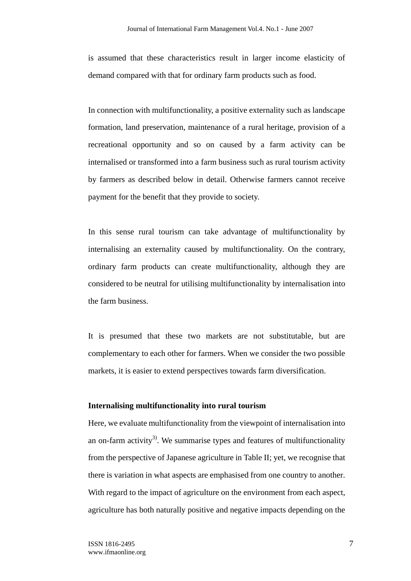is assumed that these characteristics result in larger income elasticity of demand compared with that for ordinary farm products such as food.

In connection with multifunctionality, a positive externality such as landscape formation, land preservation, maintenance of a rural heritage, provision of a recreational opportunity and so on caused by a farm activity can be internalised or transformed into a farm business such as rural tourism activity by farmers as described below in detail. Otherwise farmers cannot receive payment for the benefit that they provide to society.

In this sense rural tourism can take advantage of multifunctionality by internalising an externality caused by multifunctionality. On the contrary, ordinary farm products can create multifunctionality, although they are considered to be neutral for utilising multifunctionality by internalisation into the farm business.

It is presumed that these two markets are not substitutable, but are complementary to each other for farmers. When we consider the two possible markets, it is easier to extend perspectives towards farm diversification.

### **Internalising multifunctionality into rural tourism**

Here, we evaluate multifunctionality from the viewpoint of internalisation into an on-farm activity<sup>3)</sup>. We summarise types and features of multifunctionality from the perspective of Japanese agriculture in Table II; yet, we recognise that there is variation in what aspects are emphasised from one country to another. With regard to the impact of agriculture on the environment from each aspect, agriculture has both naturally positive and negative impacts depending on the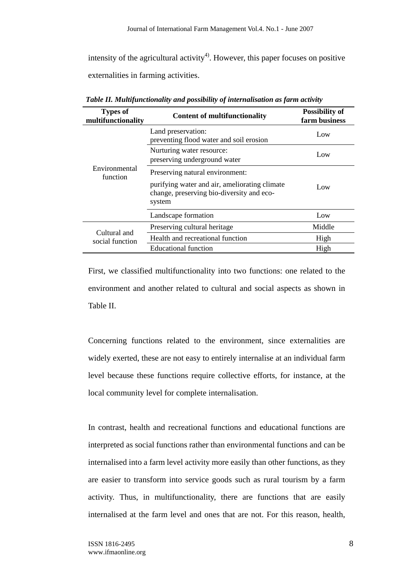intensity of the agricultural activity<sup>4)</sup>. However, this paper focuses on positive externalities in farming activities.

| <b>Types of</b><br>multifunctionality | <b>Content of multifunctionality</b>                                                                                                    | <b>Possibility of</b><br>farm business |
|---------------------------------------|-----------------------------------------------------------------------------------------------------------------------------------------|----------------------------------------|
|                                       | Land preservation:<br>preventing flood water and soil erosion                                                                           | Low                                    |
| Environmental<br>function             | Nurturing water resource:<br>preserving underground water                                                                               | Low                                    |
|                                       | Preserving natural environment:<br>purifying water and air, ameliorating climate<br>change, preserving bio-diversity and eco-<br>system | Low                                    |
|                                       | Landscape formation                                                                                                                     | Low                                    |
| Cultural and<br>social function       | Preserving cultural heritage                                                                                                            | Middle                                 |
|                                       | Health and recreational function                                                                                                        | High                                   |
|                                       | <b>Educational function</b>                                                                                                             | High                                   |

*Table II. Multifunctionality and possibility of internalisation as farm activity* 

First, we classified multifunctionality into two functions: one related to the environment and another related to cultural and social aspects as shown in Table II.

Concerning functions related to the environment, since externalities are widely exerted, these are not easy to entirely internalise at an individual farm level because these functions require collective efforts, for instance, at the local community level for complete internalisation.

In contrast, health and recreational functions and educational functions are interpreted as social functions rather than environmental functions and can be internalised into a farm level activity more easily than other functions, as they are easier to transform into service goods such as rural tourism by a farm activity. Thus, in multifunctionality, there are functions that are easily internalised at the farm level and ones that are not. For this reason, health,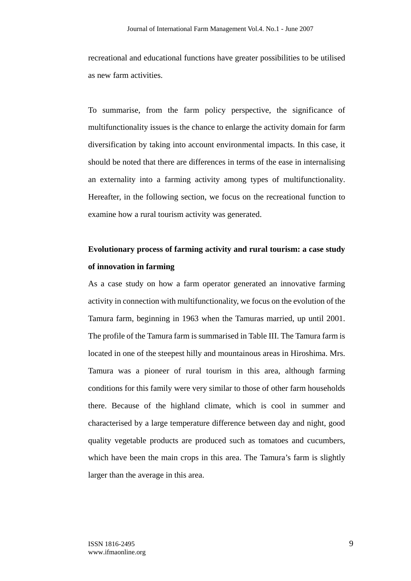recreational and educational functions have greater possibilities to be utilised as new farm activities.

To summarise, from the farm policy perspective, the significance of multifunctionality issues is the chance to enlarge the activity domain for farm diversification by taking into account environmental impacts. In this case, it should be noted that there are differences in terms of the ease in internalising an externality into a farming activity among types of multifunctionality. Hereafter, in the following section, we focus on the recreational function to examine how a rural tourism activity was generated.

## **Evolutionary process of farming activity and rural tourism: a case study of innovation in farming**

As a case study on how a farm operator generated an innovative farming activity in connection with multifunctionality, we focus on the evolution of the Tamura farm, beginning in 1963 when the Tamuras married, up until 2001. The profile of the Tamura farm is summarised in Table III. The Tamura farm is located in one of the steepest hilly and mountainous areas in Hiroshima. Mrs. Tamura was a pioneer of rural tourism in this area, although farming conditions for this family were very similar to those of other farm households there. Because of the highland climate, which is cool in summer and characterised by a large temperature difference between day and night, good quality vegetable products are produced such as tomatoes and cucumbers, which have been the main crops in this area. The Tamura's farm is slightly larger than the average in this area.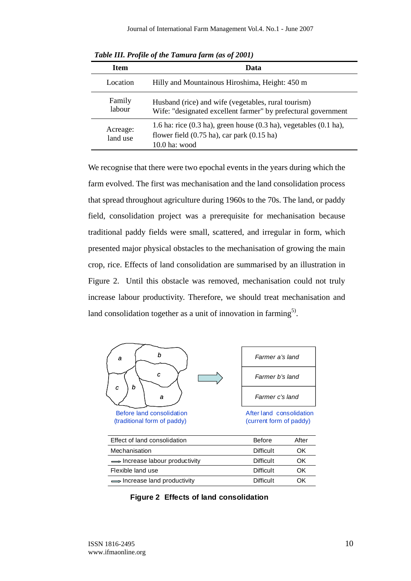| $1.0000$ and $1.0000$ of the standard farmer $1.0000$ and $1.0000$ |                                                                                                                                                                                          |  |  |
|--------------------------------------------------------------------|------------------------------------------------------------------------------------------------------------------------------------------------------------------------------------------|--|--|
| <b>Item</b>                                                        | Data                                                                                                                                                                                     |  |  |
| Location                                                           | Hilly and Mountainous Hiroshima, Height: 450 m                                                                                                                                           |  |  |
| Family<br>labour                                                   | Husband (rice) and wife (vegetables, rural tourism)<br>Wife: "designated excellent farmer" by prefectural government                                                                     |  |  |
| Acreage:<br>land use                                               | 1.6 ha: rice $(0.3 \text{ ha})$ , green house $(0.3 \text{ ha})$ , vegetables $(0.1 \text{ ha})$ ,<br>flower field $(0.75 \text{ ha})$ , car park $(0.15 \text{ ha})$<br>$10.0$ ha: wood |  |  |

*Table III. Profile of the Tamura farm (as of 2001)* 

We recognise that there were two epochal events in the years during which the farm evolved. The first was mechanisation and the land consolidation process that spread throughout agriculture during 1960s to the 70s. The land, or paddy field, consolidation project was a prerequisite for mechanisation because traditional paddy fields were small, scattered, and irregular in form, which presented major physical obstacles to the mechanisation of growing the main crop, rice. Effects of land consolidation are summarised by an illustration in Figure 2. Until this obstacle was removed, mechanisation could not truly increase labour productivity. Therefore, we should treat mechanisation and land consolidation together as a unit of innovation in farming<sup>5)</sup>.



Before land consolidation (traditional form of paddy)

| Farmer a's land |
|-----------------|
| Farmer b's land |
| Farmer c's land |

After land consolidation (current form of paddy)

| Effect of land consolidation          | <b>Before</b>    | After |
|---------------------------------------|------------------|-------|
| Mechanisation                         | <b>Difficult</b> | OΚ    |
| Increase labour productivity          | <b>Difficult</b> | OΚ    |
| Flexible land use                     | <b>Difficult</b> | OΚ    |
| $\implies$ Increase land productivity | <b>Difficult</b> | DК    |

**Figure 2 Effects of land consolidation**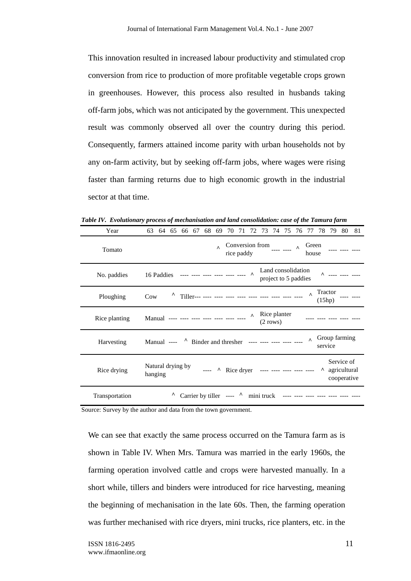This innovation resulted in increased labour productivity and stimulated crop conversion from rice to production of more profitable vegetable crops grown in greenhouses. However, this process also resulted in husbands taking off-farm jobs, which was not anticipated by the government. This unexpected result was commonly observed all over the country during this period. Consequently, farmers attained income parity with urban households not by any on-farm activity, but by seeking off-farm jobs, where wages were rising faster than farming returns due to high economic growth in the industrial sector at that time.

| Year           | 81<br>68<br>69<br>70<br>71<br>75<br>78<br>79<br>80<br>63<br>64<br>65<br>66<br>67<br>72<br>73<br>74<br>77<br>76                     |
|----------------|------------------------------------------------------------------------------------------------------------------------------------|
| Tomato         | Conversion from $\frac{1}{2}$<br>Green<br>$\lambda$<br>$\lambda$<br>rice paddy<br>house                                            |
| No. paddies    | Land consolidation<br>$\lambda$<br>$\Lambda$ ---- ---- ----<br>16 Paddies<br>project to 5 paddies                                  |
| Ploughing      | Tractor<br>$\mathbf{\Lambda}$<br>Λ<br>Cow<br>(15hp)                                                                                |
| Rice planting  | Rice planter<br>$\boldsymbol{\wedge}$<br>Manual ---- ---- ---- ---- ----<br>$(2$ rows)                                             |
| Harvesting     | Group farming<br>$\lambda$<br>Binder and thresher ---- ---- ---- ----<br>Manual ----<br>service                                    |
| Rice drying    | Service of<br>Natural drying by<br>A agricultural<br>Rice dryer ---- ---- ---- ---- ----<br>$\mathsf{v}$<br>hanging<br>cooperative |
| Transportation | $\lambda$<br>Carrier by tiller ----<br>mini truck<br>$\cdots$                                                                      |

*Table IV. Evolutionary process of mechanisation and land consolidation: case of the Tamura farm* 

Source: Survey by the author and data from the town government.

We can see that exactly the same process occurred on the Tamura farm as is shown in Table IV. When Mrs. Tamura was married in the early 1960s, the farming operation involved cattle and crops were harvested manually. In a short while, tillers and binders were introduced for rice harvesting, meaning the beginning of mechanisation in the late 60s. Then, the farming operation was further mechanised with rice dryers, mini trucks, rice planters, etc. in the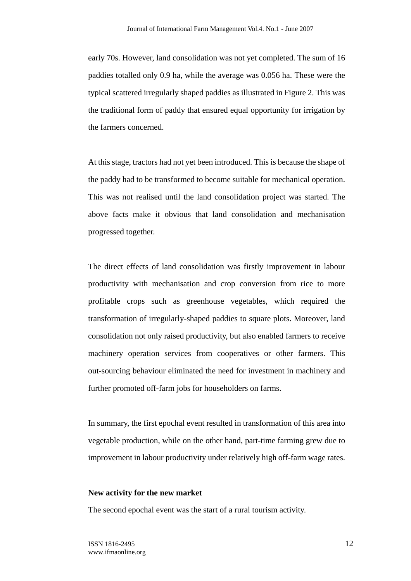early 70s. However, land consolidation was not yet completed. The sum of 16 paddies totalled only 0.9 ha, while the average was 0.056 ha. These were the typical scattered irregularly shaped paddies as illustrated in Figure 2. This was the traditional form of paddy that ensured equal opportunity for irrigation by the farmers concerned.

At this stage, tractors had not yet been introduced. This is because the shape of the paddy had to be transformed to become suitable for mechanical operation. This was not realised until the land consolidation project was started. The above facts make it obvious that land consolidation and mechanisation progressed together.

The direct effects of land consolidation was firstly improvement in labour productivity with mechanisation and crop conversion from rice to more profitable crops such as greenhouse vegetables, which required the transformation of irregularly-shaped paddies to square plots. Moreover, land consolidation not only raised productivity, but also enabled farmers to receive machinery operation services from cooperatives or other farmers. This out-sourcing behaviour eliminated the need for investment in machinery and further promoted off-farm jobs for householders on farms.

In summary, the first epochal event resulted in transformation of this area into vegetable production, while on the other hand, part-time farming grew due to improvement in labour productivity under relatively high off-farm wage rates.

### **New activity for the new market**

The second epochal event was the start of a rural tourism activity.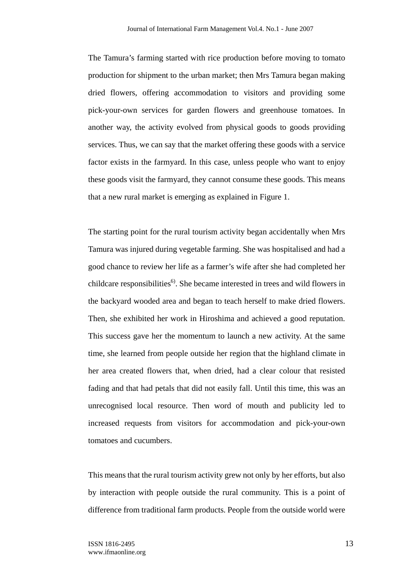The Tamura's farming started with rice production before moving to tomato production for shipment to the urban market; then Mrs Tamura began making dried flowers, offering accommodation to visitors and providing some pick-your-own services for garden flowers and greenhouse tomatoes. In another way, the activity evolved from physical goods to goods providing services. Thus, we can say that the market offering these goods with a service factor exists in the farmyard. In this case, unless people who want to enjoy these goods visit the farmyard, they cannot consume these goods. This means that a new rural market is emerging as explained in Figure 1.

The starting point for the rural tourism activity began accidentally when Mrs Tamura was injured during vegetable farming. She was hospitalised and had a good chance to review her life as a farmer's wife after she had completed her childcare responsibilities<sup> $6$ </sup>. She became interested in trees and wild flowers in the backyard wooded area and began to teach herself to make dried flowers. Then, she exhibited her work in Hiroshima and achieved a good reputation. This success gave her the momentum to launch a new activity. At the same time, she learned from people outside her region that the highland climate in her area created flowers that, when dried, had a clear colour that resisted fading and that had petals that did not easily fall. Until this time, this was an unrecognised local resource. Then word of mouth and publicity led to increased requests from visitors for accommodation and pick-your-own tomatoes and cucumbers.

This means that the rural tourism activity grew not only by her efforts, but also by interaction with people outside the rural community. This is a point of difference from traditional farm products. People from the outside world were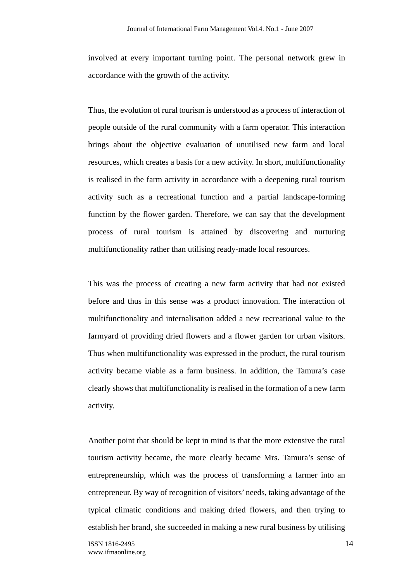involved at every important turning point. The personal network grew in accordance with the growth of the activity.

Thus, the evolution of rural tourism is understood as a process of interaction of people outside of the rural community with a farm operator. This interaction brings about the objective evaluation of unutilised new farm and local resources, which creates a basis for a new activity. In short, multifunctionality is realised in the farm activity in accordance with a deepening rural tourism activity such as a recreational function and a partial landscape-forming function by the flower garden. Therefore, we can say that the development process of rural tourism is attained by discovering and nurturing multifunctionality rather than utilising ready-made local resources.

This was the process of creating a new farm activity that had not existed before and thus in this sense was a product innovation. The interaction of multifunctionality and internalisation added a new recreational value to the farmyard of providing dried flowers and a flower garden for urban visitors. Thus when multifunctionality was expressed in the product, the rural tourism activity became viable as a farm business. In addition, the Tamura's case clearly shows that multifunctionality is realised in the formation of a new farm activity.

Another point that should be kept in mind is that the more extensive the rural tourism activity became, the more clearly became Mrs. Tamura's sense of entrepreneurship, which was the process of transforming a farmer into an entrepreneur. By way of recognition of visitors' needs, taking advantage of the typical climatic conditions and making dried flowers, and then trying to establish her brand, she succeeded in making a new rural business by utilising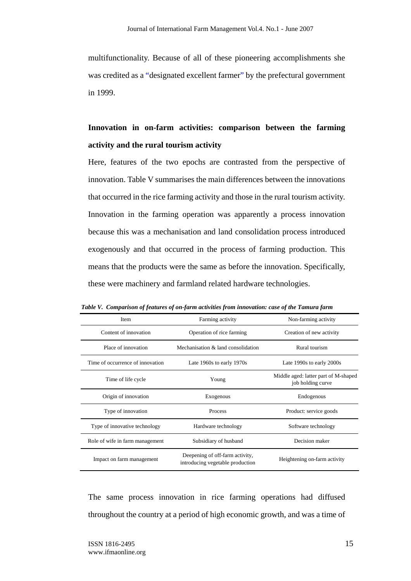multifunctionality. Because of all of these pioneering accomplishments she was credited as a "designated excellent farmer" by the prefectural government in 1999.

### **Innovation in on-farm activities: comparison between the farming activity and the rural tourism activity**

Here, features of the two epochs are contrasted from the perspective of innovation. Table V summarises the main differences between the innovations that occurred in the rice farming activity and those in the rural tourism activity. Innovation in the farming operation was apparently a process innovation because this was a mechanisation and land consolidation process introduced exogenously and that occurred in the process of farming production. This means that the products were the same as before the innovation. Specifically, these were machinery and farmland related hardware technologies.

| Item                             | Farming activity                                                                                    | Non-farming activity                                      |  |
|----------------------------------|-----------------------------------------------------------------------------------------------------|-----------------------------------------------------------|--|
| Content of innovation            | Operation of rice farming                                                                           | Creation of new activity                                  |  |
| Place of innovation              | Mechanisation & land consolidation                                                                  | Rural tourism                                             |  |
| Time of occurrence of innovation | Late 1960s to early 1970s                                                                           | Late 1990s to early 2000s                                 |  |
| Time of life cycle               | Young                                                                                               | Middle aged: latter part of M-shaped<br>job holding curve |  |
| Origin of innovation             | Exogenous                                                                                           | Endogenous                                                |  |
| Type of innovation               | Process                                                                                             | Product: service goods                                    |  |
| Type of innovative technology    | Hardware technology                                                                                 | Software technology                                       |  |
| Role of wife in farm management  | Subsidiary of husband                                                                               | Decision maker                                            |  |
| Impact on farm management        | Deepening of off-farm activity,<br>Heightening on-farm activity<br>introducing vegetable production |                                                           |  |

*Table V. Comparison of features of on-farm activities from innovation: case of the Tamura farm* 

The same process innovation in rice farming operations had diffused throughout the country at a period of high economic growth, and was a time of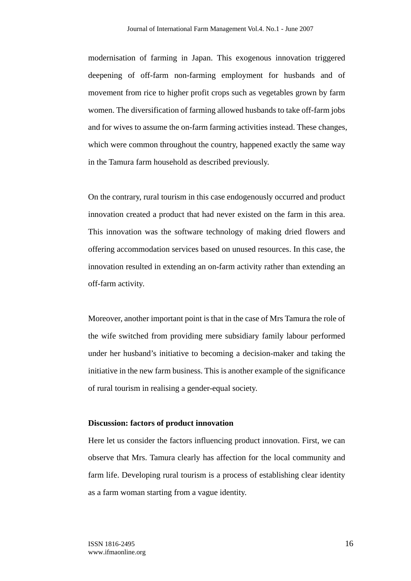modernisation of farming in Japan. This exogenous innovation triggered deepening of off-farm non-farming employment for husbands and of movement from rice to higher profit crops such as vegetables grown by farm women. The diversification of farming allowed husbands to take off-farm jobs and for wives to assume the on-farm farming activities instead. These changes, which were common throughout the country, happened exactly the same way in the Tamura farm household as described previously.

On the contrary, rural tourism in this case endogenously occurred and product innovation created a product that had never existed on the farm in this area. This innovation was the software technology of making dried flowers and offering accommodation services based on unused resources. In this case, the innovation resulted in extending an on-farm activity rather than extending an off-farm activity.

Moreover, another important point is that in the case of Mrs Tamura the role of the wife switched from providing mere subsidiary family labour performed under her husband's initiative to becoming a decision-maker and taking the initiative in the new farm business. This is another example of the significance of rural tourism in realising a gender-equal society.

### **Discussion: factors of product innovation**

Here let us consider the factors influencing product innovation. First, we can observe that Mrs. Tamura clearly has affection for the local community and farm life. Developing rural tourism is a process of establishing clear identity as a farm woman starting from a vague identity.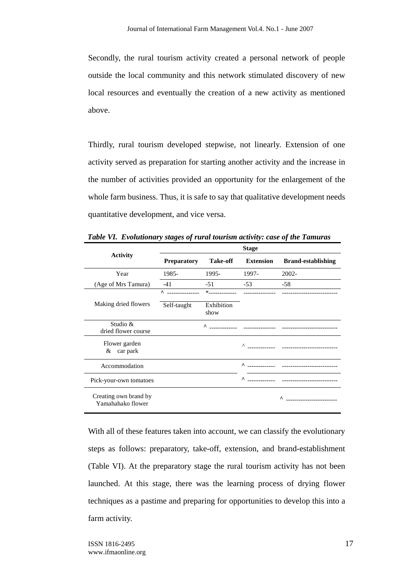Secondly, the rural tourism activity created a personal network of people outside the local community and this network stimulated discovery of new local resources and eventually the creation of a new activity as mentioned above.

Thirdly, rural tourism developed stepwise, not linearly. Extension of one activity served as preparation for starting another activity and the increase in the number of activities provided an opportunity for the enlargement of the whole farm business. Thus, it is safe to say that qualitative development needs quantitative development, and vice versa.

|                                            | <b>Stage</b>                    |                    |                  |                           |
|--------------------------------------------|---------------------------------|--------------------|------------------|---------------------------|
| <b>Activity</b>                            | <b>Preparatory</b>              | <b>Take-off</b>    | <b>Extension</b> | <b>Brand-establishing</b> |
| Year                                       | 1985-                           | 1995-              | 1997-            | 2002-                     |
| (Age of Mrs Tamura)                        | $-41$                           | $-51$              | $-53$            | $-58$                     |
|                                            | $\wedge$ $\qquad \qquad \cdots$ | $\ast$             |                  |                           |
| Making dried flowers                       | Self-taught                     | Exhibition<br>show |                  |                           |
| Studio &<br>dried flower course            |                                 | $\lambda$          |                  |                           |
| Flower garden<br>$& \text{car park}$       |                                 |                    |                  |                           |
| Accommodation                              |                                 |                    | $\sim$           |                           |
| Pick-your-own tomatoes                     |                                 |                    | $\wedge$         |                           |
| Creating own brand by<br>Yamahahako flower |                                 |                    |                  | ^                         |

*Table VI. Evolutionary stages of rural tourism activity: case of the Tamuras*

With all of these features taken into account, we can classify the evolutionary steps as follows: preparatory, take-off, extension, and brand-establishment (Table VI). At the preparatory stage the rural tourism activity has not been launched. At this stage, there was the learning process of drying flower techniques as a pastime and preparing for opportunities to develop this into a farm activity.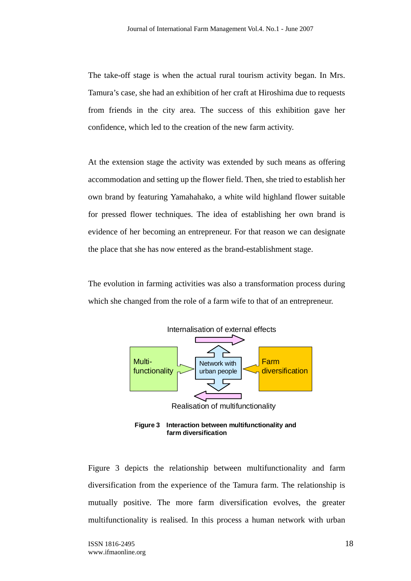The take-off stage is when the actual rural tourism activity began. In Mrs. Tamura's case, she had an exhibition of her craft at Hiroshima due to requests from friends in the city area. The success of this exhibition gave her confidence, which led to the creation of the new farm activity.

At the extension stage the activity was extended by such means as offering accommodation and setting up the flower field. Then, she tried to establish her own brand by featuring Yamahahako, a white wild highland flower suitable for pressed flower techniques. The idea of establishing her own brand is evidence of her becoming an entrepreneur. For that reason we can designate the place that she has now entered as the brand-establishment stage.

The evolution in farming activities was also a transformation process during which she changed from the role of a farm wife to that of an entrepreneur.



**Figure 3 Interaction between multifunctionality and farm diversification**

Figure 3 depicts the relationship between multifunctionality and farm diversification from the experience of the Tamura farm. The relationship is mutually positive. The more farm diversification evolves, the greater multifunctionality is realised. In this process a human network with urban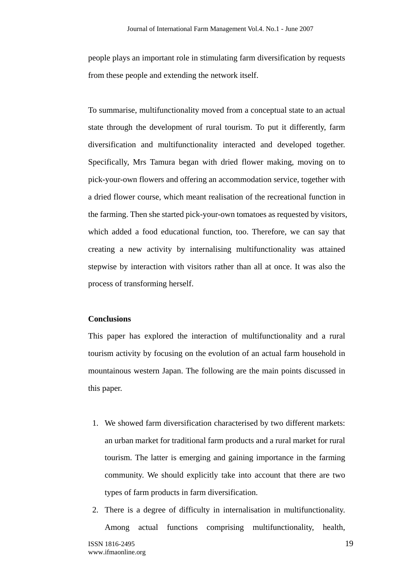people plays an important role in stimulating farm diversification by requests from these people and extending the network itself.

To summarise, multifunctionality moved from a conceptual state to an actual state through the development of rural tourism. To put it differently, farm diversification and multifunctionality interacted and developed together. Specifically, Mrs Tamura began with dried flower making, moving on to pick-your-own flowers and offering an accommodation service, together with a dried flower course, which meant realisation of the recreational function in the farming. Then she started pick-your-own tomatoes as requested by visitors, which added a food educational function, too. Therefore, we can say that creating a new activity by internalising multifunctionality was attained stepwise by interaction with visitors rather than all at once. It was also the process of transforming herself.

### **Conclusions**

This paper has explored the interaction of multifunctionality and a rural tourism activity by focusing on the evolution of an actual farm household in mountainous western Japan. The following are the main points discussed in this paper.

- 1. We showed farm diversification characterised by two different markets: an urban market for traditional farm products and a rural market for rural tourism. The latter is emerging and gaining importance in the farming community. We should explicitly take into account that there are two types of farm products in farm diversification.
- 2. There is a degree of difficulty in internalisation in multifunctionality. Among actual functions comprising multifunctionality, health,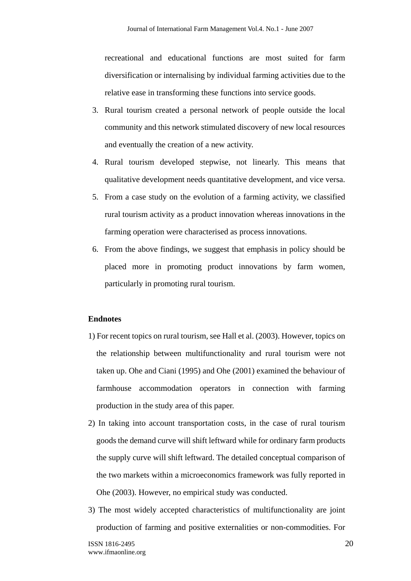recreational and educational functions are most suited for farm diversification or internalising by individual farming activities due to the relative ease in transforming these functions into service goods.

- 3. Rural tourism created a personal network of people outside the local community and this network stimulated discovery of new local resources and eventually the creation of a new activity.
- 4. Rural tourism developed stepwise, not linearly. This means that qualitative development needs quantitative development, and vice versa.
- 5. From a case study on the evolution of a farming activity, we classified rural tourism activity as a product innovation whereas innovations in the farming operation were characterised as process innovations.
- 6. From the above findings, we suggest that emphasis in policy should be placed more in promoting product innovations by farm women, particularly in promoting rural tourism.

### **Endnotes**

- 1) For recent topics on rural tourism, see Hall et al. (2003). However, topics on the relationship between multifunctionality and rural tourism were not taken up. Ohe and Ciani (1995) and Ohe (2001) examined the behaviour of farmhouse accommodation operators in connection with farming production in the study area of this paper.
- 2) In taking into account transportation costs, in the case of rural tourism goods the demand curve will shift leftward while for ordinary farm products the supply curve will shift leftward. The detailed conceptual comparison of the two markets within a microeconomics framework was fully reported in Ohe (2003). However, no empirical study was conducted.
- 3) The most widely accepted characteristics of multifunctionality are joint production of farming and positive externalities or non-commodities. For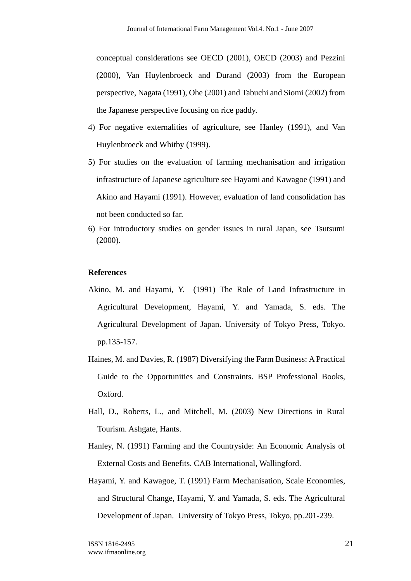conceptual considerations see OECD (2001), OECD (2003) and Pezzini (2000), Van Huylenbroeck and Durand (2003) from the European perspective, Nagata (1991), Ohe (2001) and Tabuchi and Siomi (2002) from the Japanese perspective focusing on rice paddy.

- 4) For negative externalities of agriculture, see Hanley (1991), and Van Huylenbroeck and Whitby (1999).
- 5) For studies on the evaluation of farming mechanisation and irrigation infrastructure of Japanese agriculture see Hayami and Kawagoe (1991) and Akino and Hayami (1991). However, evaluation of land consolidation has not been conducted so far.
- 6) For introductory studies on gender issues in rural Japan, see Tsutsumi (2000).

### **References**

- Akino, M. and Hayami, Y. (1991) The Role of Land Infrastructure in Agricultural Development, Hayami, Y. and Yamada, S. eds. The Agricultural Development of Japan. University of Tokyo Press, Tokyo. pp.135-157.
- Haines, M. and Davies, R. (1987) Diversifying the Farm Business: A Practical Guide to the Opportunities and Constraints. BSP Professional Books, Oxford.
- Hall, D., Roberts, L., and Mitchell, M. (2003) New Directions in Rural Tourism. Ashgate, Hants.
- Hanley, N. (1991) Farming and the Countryside: An Economic Analysis of External Costs and Benefits. CAB International, Wallingford.
- Hayami, Y. and Kawagoe, T. (1991) Farm Mechanisation, Scale Economies, and Structural Change, Hayami, Y. and Yamada, S. eds. The Agricultural Development of Japan. University of Tokyo Press, Tokyo, pp.201-239.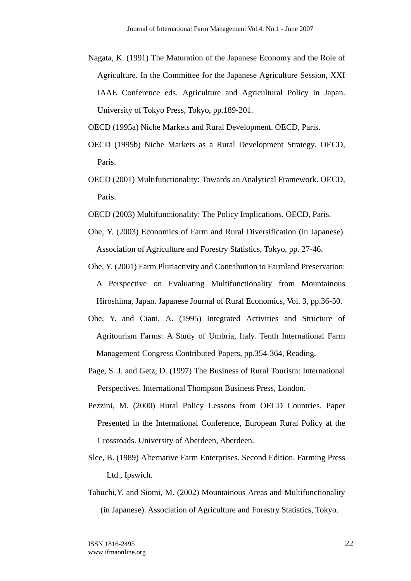Nagata, K. (1991) The Maturation of the Japanese Economy and the Role of Agriculture. In the Committee for the Japanese Agriculture Session, XXI IAAE Conference eds. Agriculture and Agricultural Policy in Japan. University of Tokyo Press, Tokyo, pp.189-201.

OECD (1995a) Niche Markets and Rural Development. OECD, Paris.

- OECD (1995b) Niche Markets as a Rural Development Strategy. OECD, Paris.
- OECD (2001) Multifunctionality: Towards an Analytical Framework. OECD, Paris.
- OECD (2003) Multifunctionality: The Policy Implications. OECD, Paris.
- Ohe, Y. (2003) Economics of Farm and Rural Diversification (in Japanese). Association of Agriculture and Forestry Statistics, Tokyo, pp. 27-46.
- Ohe, Y. (2001) Farm Pluriactivity and Contribution to Farmland Preservation: A Perspective on Evaluating Multifunctionality from Mountainous Hiroshima, Japan. Japanese Journal of Rural Economics, Vol. 3, pp.36-50.
- Ohe, Y. and Ciani, A. (1995) Integrated Activities and Structure of Agritourism Farms: A Study of Umbria, Italy. Tenth International Farm Management Congress Contributed Papers, pp.354-364, Reading.
- Page, S. J. and Getz, D. (1997) The Business of Rural Tourism: International Perspectives. International Thompson Business Press, London.
- Pezzini, M. (2000) Rural Policy Lessons from OECD Countries. Paper Presented in the International Conference, European Rural Policy at the Crossroads. University of Aberdeen, Aberdeen.
- Slee, B. (1989) Alternative Farm Enterprises. Second Edition. Farming Press Ltd., Ipswich.
- Tabuchi,Y. and Siomi, M. (2002) Mountainous Areas and Multifunctionality (in Japanese). Association of Agriculture and Forestry Statistics, Tokyo.